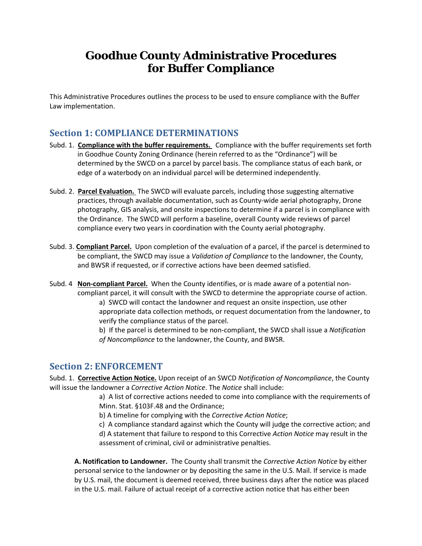# **Goodhue County Administrative Procedures for Buffer Compliance**

This Administrative Procedures outlines the process to be used to ensure compliance with the Buffer Law implementation.

## **Section 1: COMPLIANCE DETERMINATIONS**

- Subd. 1. **Compliance with the buffer requirements.** Compliance with the buffer requirements set forth in Goodhue County Zoning Ordinance (herein referred to as the "Ordinance") will be determined by the SWCD on a parcel by parcel basis. The compliance status of each bank, or edge of a waterbody on an individual parcel will be determined independently.
- Subd. 2. **Parcel Evaluation.** The SWCD will evaluate parcels, including those suggesting alternative practices, through available documentation, such as County-wide aerial photography, Drone photography, GIS analysis, and onsite inspections to determine if a parcel is in compliance with the Ordinance. The SWCD will perform a baseline, overall County wide reviews of parcel compliance every two years in coordination with the County aerial photography.
- Subd. 3. **Compliant Parcel.** Upon completion of the evaluation of a parcel, if the parcel is determined to be compliant, the SWCD may issue a *Validation of Compliance* to the landowner, the County, and BWSR if requested, or if corrective actions have been deemed satisfied.
- Subd. 4 **Non-compliant Parcel.** When the County identifies, or is made aware of a potential noncompliant parcel, it will consult with the SWCD to determine the appropriate course of action. a) SWCD will contact the landowner and request an onsite inspection, use other appropriate data collection methods, or request documentation from the landowner, to verify the compliance status of the parcel. b) If the parcel is determined to be non-compliant, the SWCD shall issue a *Notification*
	- *of Noncompliance* to the landowner, the County, and BWSR.

### **Section 2: ENFORCEMENT**

Subd. 1. **Corrective Action Notice.** Upon receipt of an SWCD *Notification of Noncompliance*, the County will issue the landowner a *Corrective Action Notice*. The *Notice* shall include:

> a) A list of corrective actions needed to come into compliance with the requirements of Minn. Stat. §103F.48 and the Ordinance;

b) A timeline for complying with the *Corrective Action Notice*;

c) A compliance standard against which the County will judge the corrective action; and d) A statement that failure to respond to this Corrective *Action Notice* may result in the assessment of criminal, civil or administrative penalties.

**A. Notification to Landowner.** The County shall transmit the *Corrective Action Notice* by either personal service to the landowner or by depositing the same in the U.S. Mail. If service is made by U.S. mail, the document is deemed received, three business days after the notice was placed in the U.S. mail. Failure of actual receipt of a corrective action notice that has either been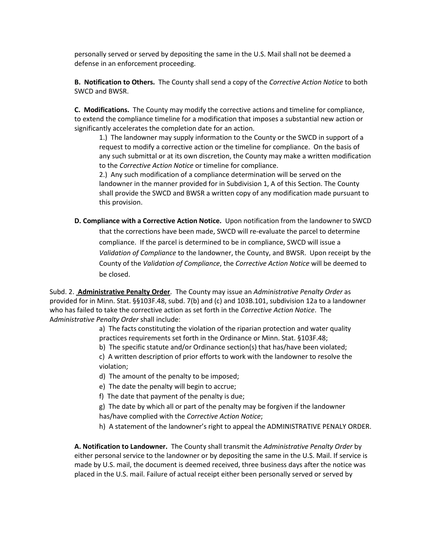personally served or served by depositing the same in the U.S. Mail shall not be deemed a defense in an enforcement proceeding.

**B. Notification to Others.** The County shall send a copy of the *Corrective Action Notice* to both SWCD and BWSR.

**C. Modifications.** The County may modify the corrective actions and timeline for compliance, to extend the compliance timeline for a modification that imposes a substantial new action or significantly accelerates the completion date for an action.

1.) The landowner may supply information to the County or the SWCD in support of a request to modify a corrective action or the timeline for compliance. On the basis of any such submittal or at its own discretion, the County may make a written modification to the *Corrective Action Notice* or timeline for compliance.

2.) Any such modification of a compliance determination will be served on the landowner in the manner provided for in Subdivision 1, A of this Section. The County shall provide the SWCD and BWSR a written copy of any modification made pursuant to this provision.

**D. Compliance with a Corrective Action Notice.** Upon notification from the landowner to SWCD that the corrections have been made, SWCD will re-evaluate the parcel to determine compliance. If the parcel is determined to be in compliance, SWCD will issue a *Validation of Compliance* to the landowner, the County, and BWSR. Upon receipt by the County of the *Validation of Compliance*, the *Corrective Action Notice* will be deemed to be closed.

Subd. 2. **Administrative Penalty Order**. The County may issue an *Administrative Penalty Order* as provided for in Minn. Stat. §§103F.48, subd. 7(b) and (c) and 103B.101, subdivision 12a to a landowner who has failed to take the corrective action as set forth in the *Corrective Action Notice*. The A*dministrative Penalty Order* shall include:

> a) The facts constituting the violation of the riparian protection and water quality practices requirements set forth in the Ordinance or Minn. Stat. §103F.48;

b) The specific statute and/or Ordinance section(s) that has/have been violated;

c) A written description of prior efforts to work with the landowner to resolve the violation;

d) The amount of the penalty to be imposed;

e) The date the penalty will begin to accrue;

- f) The date that payment of the penalty is due;
- g) The date by which all or part of the penalty may be forgiven if the landowner has/have complied with the *Corrective Action Notice*;

h) A statement of the landowner's right to appeal the ADMINISTRATIVE PENALY ORDER.

**A. Notification to Landowner.** The County shall transmit the *Administrative Penalty Order* by either personal service to the landowner or by depositing the same in the U.S. Mail. If service is made by U.S. mail, the document is deemed received, three business days after the notice was placed in the U.S. mail. Failure of actual receipt either been personally served or served by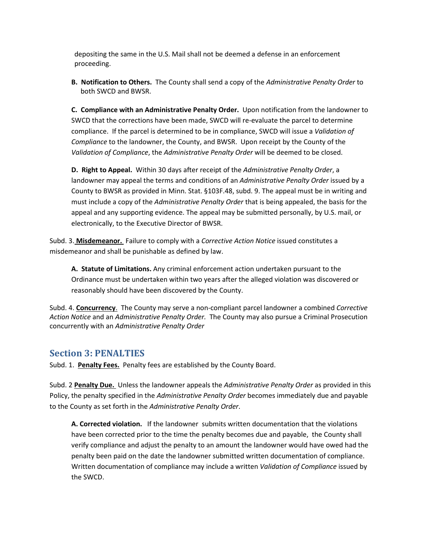depositing the same in the U.S. Mail shall not be deemed a defense in an enforcement proceeding.

**B. Notification to Others.** The County shall send a copy of the *Administrative Penalty Order* to both SWCD and BWSR.

**C. Compliance with an Administrative Penalty Order.** Upon notification from the landowner to SWCD that the corrections have been made, SWCD will re-evaluate the parcel to determine compliance. If the parcel is determined to be in compliance, SWCD will issue a *Validation of Compliance* to the landowner, the County, and BWSR. Upon receipt by the County of the *Validation of Compliance*, the *Administrative Penalty Order* will be deemed to be closed.

**D. Right to Appeal.** Within 30 days after receipt of the *Administrative Penalty Order*, a landowner may appeal the terms and conditions of an *Administrative Penalty Order* issued by a County to BWSR as provided in Minn. Stat. §103F.48, subd. 9. The appeal must be in writing and must include a copy of the *Administrative Penalty Order* that is being appealed, the basis for the appeal and any supporting evidence. The appeal may be submitted personally, by U.S. mail, or electronically, to the Executive Director of BWSR.

Subd. 3. **Misdemeanor.** Failure to comply with a *Corrective Action Notice* issued constitutes a misdemeanor and shall be punishable as defined by law.

**A. Statute of Limitations.** Any criminal enforcement action undertaken pursuant to the Ordinance must be undertaken within two years after the alleged violation was discovered or reasonably should have been discovered by the County.

Subd. 4. **Concurrency**. The County may serve a non-compliant parcel landowner a combined *Corrective Action Notice* and an *Administrative Penalty Order.* The County may also pursue a Criminal Prosecution concurrently with an *Administrative Penalty Order*

#### **Section 3: PENALTIES**

Subd. 1. **Penalty Fees.** Penalty fees are established by the County Board.

Subd. 2 **Penalty Due.** Unless the landowner appeals the *Administrative Penalty Order* as provided in this Policy, the penalty specified in the *Administrative Penalty Order* becomes immediately due and payable to the County as set forth in the *Administrative Penalty Order*.

**A. Corrected violation.** If the landowner submits written documentation that the violations have been corrected prior to the time the penalty becomes due and payable, the County shall verify compliance and adjust the penalty to an amount the landowner would have owed had the penalty been paid on the date the landowner submitted written documentation of compliance. Written documentation of compliance may include a written *Validation of Compliance* issued by the SWCD.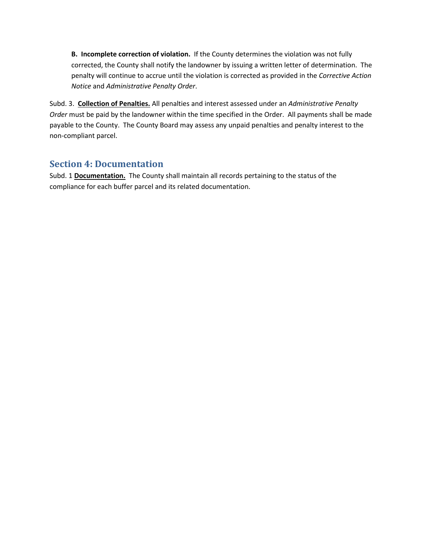**B. Incomplete correction of violation.** If the County determines the violation was not fully corrected, the County shall notify the landowner by issuing a written letter of determination. The penalty will continue to accrue until the violation is corrected as provided in the *Corrective Action Notice* and *Administrative Penalty Order*.

Subd. 3. **Collection of Penalties.** All penalties and interest assessed under an *Administrative Penalty Order* must be paid by the landowner within the time specified in the Order. All payments shall be made payable to the County. The County Board may assess any unpaid penalties and penalty interest to the non-compliant parcel.

## **Section 4: Documentation**

Subd. 1 **Documentation.** The County shall maintain all records pertaining to the status of the compliance for each buffer parcel and its related documentation.